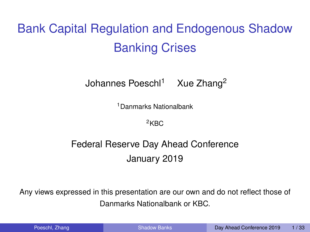<span id="page-0-1"></span>Bank Capital Regulation and Endogenous Shadow Banking Crises

 $Johannes Poeschl<sup>1</sup>$  Xue Zhang<sup>2</sup>

<sup>1</sup>Danmarks Nationalbank

 $2KBC$ 

### Federal Reserve Day Ahead Conference January 2019

Any views expressed in this presentation are our own and do not reflect those of Danmarks Nationalbank or KBC.

| Poeschl, Zhang |  |  |
|----------------|--|--|
|                |  |  |
|                |  |  |

<span id="page-0-0"></span>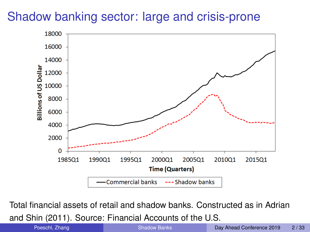# Shadow banking sector: large and crisis-prone



Total financial assets of retail and shadow banks. Constructed as in Adrian

and Shin (2011). Source: Financial Accounts of the U.S.

| Poeschl, Zhang |  |
|----------------|--|
|----------------|--|

<span id="page-1-0"></span>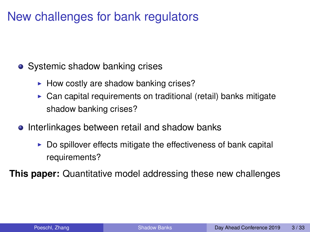# New challenges for bank regulators

- Systemic shadow banking crises
	- $\blacktriangleright$  How costly are shadow banking crises?
	- $\triangleright$  Can capital requirements on traditional (retail) banks mitigate shadow banking crises?
- **•** Interlinkages between retail and shadow banks
	- $\triangleright$  Do spillover effects mitigate the effectiveness of bank capital requirements?

**This paper:** Quantitative model addressing these new challenges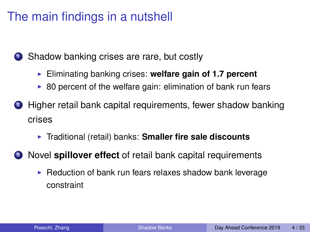# The main findings in a nutshell

**1** Shadow banking crises are rare, but costly

- **Eliminating banking crises: welfare gain of 1.7 percent**
- $\triangleright$  80 percent of the welfare gain: elimination of bank run fears
- 2 Higher retail bank capital requirements, fewer shadow banking crises
	- **Figure 1** Traditional (retail) banks: **Smaller fire sale discounts**
- <sup>3</sup> Novel **spillover effect** of retail bank capital requirements
	- $\blacktriangleright$  Reduction of bank run fears relaxes shadow bank leverage constraint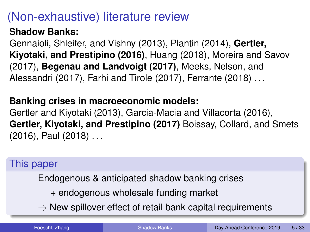# (Non-exhaustive) literature review

#### **Shadow Banks:**

Gennaioli, Shleifer, and Vishny (2013), Plantin (2014), **Gertler, Kiyotaki, and Prestipino (2016)**, Huang (2018), Moreira and Savov (2017), **Begenau and Landvoigt (2017)**, Meeks, Nelson, and Alessandri (2017), Farhi and Tirole (2017), Ferrante (2018) . . .

#### **Banking crises in macroeconomic models:**

Gertler and Kiyotaki (2013), Garcia-Macia and Villacorta (2016), **Gertler, Kiyotaki, and Prestipino (2017)** Boissay, Collard, and Smets (2016), Paul (2018) . . .

#### This paper

Endogenous & anticipated shadow banking crises

- + endogenous wholesale funding market
- $\Rightarrow$  New spillover effect of retail bank capital requirements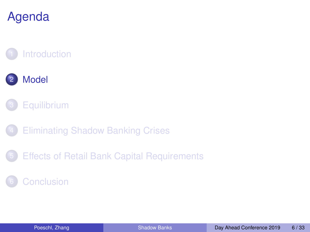# Agenda

# **[Introduction](#page-1-0)**





- **[Eliminating Shadow Banking Crises](#page-18-0)**
- 5 [Effects of Retail Bank Capital Requirements](#page-22-0)

### <span id="page-5-0"></span>**[Conclusion](#page-27-0)**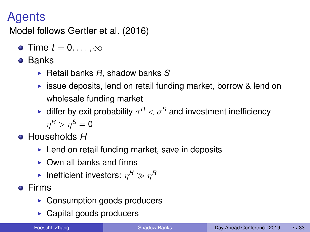# Agents

Model follows Gertler et al. (2016)

- **o** Time  $t = 0, \ldots, \infty$
- **o** Banks
	- $\blacktriangleright$  Retail banks *R*, shadow banks *S*
	- $\triangleright$  issue deposits, lend on retail funding market, borrow & lend on wholesale funding market
	- **•** differ by exit probability  $\sigma^R < \sigma^S$  and investment inefficiency  $\eta^{\textsf{R}}>\eta^{\textsf{S}}= {\bf 0}$
- Households *H*
	- $\blacktriangleright$  Lend on retail funding market, save in deposits
	- $\triangleright$  Own all banks and firms
	- **I** Inefficient investors:  $\eta^H \gg \eta^R$
- **o** Firms
	- $\triangleright$  Consumption goods producers
	- $\triangleright$  Capital goods producers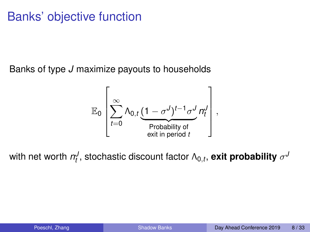# Banks' objective function

Banks of type *J* maximize payouts to households

$$
\mathbb{E}_0\left[\sum_{t=0}^{\infty}\Lambda_{0,t}\underbrace{(1-\sigma^J)^{t-1}\sigma^J}_{\text{Probability of}\atop \text{exit in period }t}n_t^J\right],
$$

with net worth  $n_t^J$ , stochastic discount factor  $\Lambda_{0,t}$ , exit probability  $\sigma^J$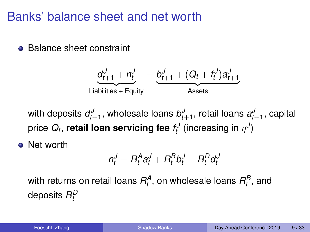## Banks' balance sheet and net worth

**• Balance sheet constraint** 

$$
\underbrace{d_{t+1}^J + n_t^J}_{\text{Liabilities + Equity}} = \underbrace{b_{t+1}^J + (Q_t + f_t^J)a_{t+1}^J}_{\text{Assets}}
$$

with deposits  $d_{t+1}^J,$  wholesale loans  $b_{t+1}^J,$  retail loans  $a_{t+1}^J,$  capital price  $Q_t$ , **retail loan servicing fee**  $f_t^J$  (increasing in  $\eta^J$ )

• Net worth

$$
n_t^J = R_t^A a_t^J + R_t^B b_t^J - R_t^D d_t^J
$$

with returns on retail loans  $R_t^A$ , on wholesale loans  $R_t^B$ , and deposits  $R^D_t$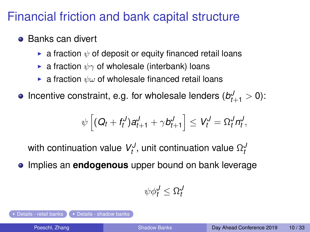# Financial friction and bank capital structure

#### <span id="page-9-0"></span>**• Banks can divert**

- **Ex** a fraction  $\psi$  of deposit or equity financed retail loans
- **Ex** a fraction  $\psi \gamma$  of wholesale (interbank) loans
- **Ex** a fraction  $\psi \omega$  of wholesale financed retail loans

Incentive constraint, e.g. for wholesale lenders  $(b_{t+1}^J > 0)$ :

$$
\psi\left[ (Q_t + f_t^J) a_{t+1}^J + \gamma b_{t+1}^J \right] \leq V_t^J = \Omega_t^J n_t^J,
$$

with continuation value  $V^\mathcal{J}_t$ , unit continuation value  $\Omega^\mathcal{J}_t$ 

**•** Implies an **endogenous** upper bound on bank leverage

$$
\psi \phi_t^J \leq \Omega_t^J
$$

[Details - retail banks](#page-30-0)  $\sum$  > [Details - shadow banks](#page-31-0)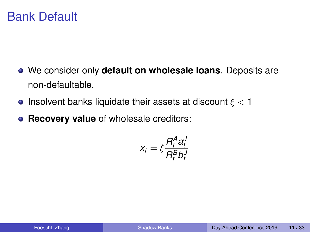### Bank Default

- We consider only **default on wholesale loans**. Deposits are non-defaultable.
- **•** Insolvent banks liquidate their assets at discount  $\xi < 1$
- **Recovery value** of wholesale creditors:

$$
x_t = \xi \frac{R_t^A a_t^J}{R_t^B b_t^J}
$$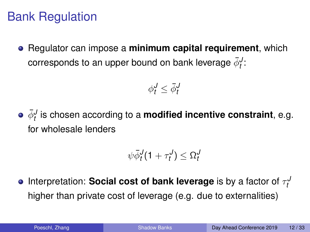# Bank Regulation

Regulator can impose a **minimum capital requirement**, which corresponds to an upper bound on bank leverage  $\bar{\phi}^J_t$ :

$$
\phi_t^J \le \bar{\phi}_t^J
$$

 $\bar{\phi}^J_t$  is chosen according to a **modified incentive constraint**, e.g. for wholesale lenders

$$
\psi \bar{\phi}_t^J (1+\tau^J_t) \leq \Omega^J_t
$$

Interpretation: **Social cost of bank leverage** is by a factor of  $\tau^J_t$ higher than private cost of leverage (e.g. due to externalities)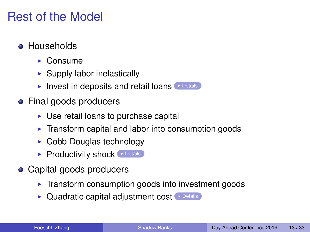# Rest of the Model

- <span id="page-12-0"></span>**• Households** 
	- $\triangleright$  Consume
	- $\blacktriangleright$  Supply labor inelastically
	- Invest in deposits and retail loans  $\triangleright$  [Details](#page-29-0)
- Final goods producers
	- $\triangleright$  Use retail loans to purchase capital
	- $\triangleright$  Transform capital and labor into consumption goods
	- $\triangleright$  Cobb-Douglas technology
	- $\blacktriangleright$  Productivity shock  $\blacktriangleright$  [Details](#page-32-0)
- Capital goods producers
	- $\blacktriangleright$  Transform consumption goods into investment goods
	- $\blacktriangleright$  Quadratic capital adjustment cost  $\blacktriangleright$  [Details](#page-32-0)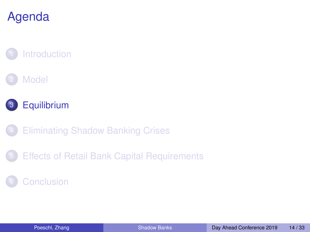# Agenda

# **[Introduction](#page-1-0)**





- **[Eliminating Shadow Banking Crises](#page-18-0)**
- 5 [Effects of Retail Bank Capital Requirements](#page-22-0)

### <span id="page-13-0"></span>**[Conclusion](#page-27-0)**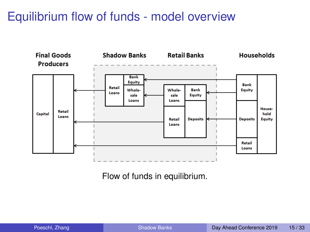# Equilibrium flow of funds - model overview



Flow of funds in equilibrium.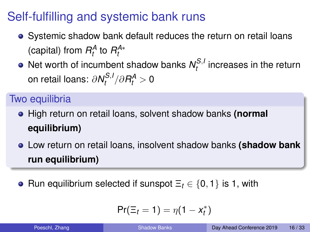# Self-fulfilling and systemic bank runs

- Systemic shadow bank default reduces the return on retail loans (capital) from  $R_t^A$  to  $R_t^{A*}$
- Net worth of incumbent shadow banks  $N_t^{S,t}$  $t^{\infty,1}$  increases in the return on retail loans: ∂*N S*,*I*  $R_t^{S,I}/\partial R_t^A > 0$

### Two equilibria

- High return on retail loans, solvent shadow banks **(normal equilibrium)**
- Low return on retail loans, insolvent shadow banks **(shadow bank run equilibrium)**
- Run equilibrium selected if sunspot  $\Xi_t \in \{0, 1\}$  is 1, with

$$
Pr(\Xi_t=1)=\eta(1-x_t^*)
$$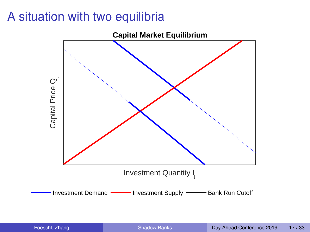# A situation with two equilibria

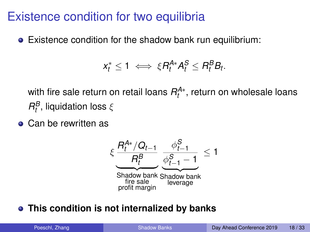### Existence condition for two equilibria

Existence condition for the shadow bank run equilibrium:

$$
x_t^* \leq 1 \iff \xi R_t^{A*} A_t^S \leq R_t^B B_t.
$$

with fire sale return on retail loans  $R^{A*}_{t}$ , return on wholesale loans  $R_t^B$ , liquidation loss  $ξ$ 

• Can be rewritten as



#### **This condition is not internalized by banks**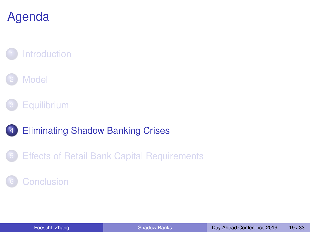# Agenda

# **[Introduction](#page-1-0)**

### **[Model](#page-5-0)**



## **[Eliminating Shadow Banking Crises](#page-18-0)**

5 [Effects of Retail Bank Capital Requirements](#page-22-0)

### <span id="page-18-0"></span>**[Conclusion](#page-27-0)**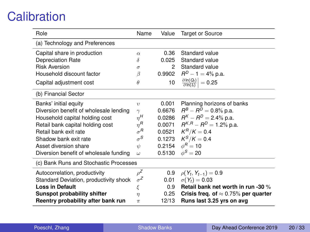# **Calibration**

| Role                                   | Name                   | Value           | <b>Target or Source</b>                              |  |  |
|----------------------------------------|------------------------|-----------------|------------------------------------------------------|--|--|
| (a) Technology and Preferences         |                        |                 |                                                      |  |  |
| Capital share in production            | $\alpha$               | 0.36            | Standard value                                       |  |  |
| <b>Depreciation Rate</b>               | δ                      | 0.025           | Standard value                                       |  |  |
| <b>Risk Aversion</b>                   | $\sigma$               | 2               | Standard value                                       |  |  |
| Household discount factor              | β                      | 0.9902          | $R^D - 1 = 4\%$ p.a.                                 |  |  |
| Capital adjustment cost                | $\theta$               | 10 <sup>1</sup> | $\frac{\partial \ln(Q_t)}{\partial \ln(I_t)}$ = 0.25 |  |  |
| (b) Financial Sector                   |                        |                 |                                                      |  |  |
| Banks' initial equity                  | $\upsilon$             | 0.001           | Planning horizons of banks                           |  |  |
| Diversion benefit of wholesale lending | $\gamma$               | 0.6676          | $R^B - R^D = 0.8\%$ p.a.                             |  |  |
| Household capital holding cost         | $n^{H}$                |                 | 0.0286 $R^{K} - R^{D} = 2.4\%$ p.a.                  |  |  |
| Retail bank capital holding cost       | $n^R$                  |                 | 0.0071 $R^{K,R} - R^D = 1.2\%$ p.a.                  |  |  |
| Retail bank exit rate                  | $\sigma^R$             |                 | 0.0521 $K^R/K = 0.4$                                 |  |  |
| Shadow bank exit rate                  | $\sigma^{\mathcal{S}}$ |                 | 0.1273 $K^S/K = 0.4$                                 |  |  |
| Asset diversion share                  | ψ                      | 0.2154          | $\phi^R = 10$                                        |  |  |
| Diversion benefit of wholesale funding | $\omega$               | 0.5130          | $\phi^S = 20$                                        |  |  |
| (c) Bank Runs and Stochastic Processes |                        |                 |                                                      |  |  |
| Autocorrelation, productivity          | $o^Z$                  |                 | 0.9 $\rho(Y_t, Y_{t-1}) = 0.9$                       |  |  |
| Standard Deviation, productivity shock | $\sigma^Z$             | 0.01            | $\sigma(Y_t) = 0.03$                                 |  |  |
| <b>Loss in Default</b>                 | ξ                      | 0.9             | Retail bank net worth in run -30 %                   |  |  |
| Sunspot probability shifter            | $\eta$                 | 0.25            | Crisis freq. of $\approx 0.75\%$ per quarter         |  |  |
| Reentry probability after bank run     | $\pi$                  | 12/13           | Runs last 3.25 yrs on avg                            |  |  |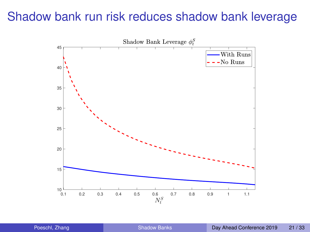# Shadow bank run risk reduces shadow bank leverage

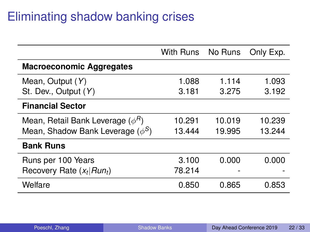# Eliminating shadow banking crises

|                                       | With Runs No Runs |        | Only Exp. |
|---------------------------------------|-------------------|--------|-----------|
| <b>Macroeconomic Aggregates</b>       |                   |        |           |
| Mean, Output (Y)                      | 1.088             | 1.114  | 1.093     |
| St. Dev., Output (Y)                  | 3.181             | 3.275  | 3.192     |
| <b>Financial Sector</b>               |                   |        |           |
| Mean, Retail Bank Leverage $(\phi^H)$ | 10.291            | 10.019 | 10.239    |
| Mean, Shadow Bank Leverage $(\phi^S)$ | 13.444            | 19.995 | 13.244    |
| <b>Bank Runs</b>                      |                   |        |           |
| Runs per 100 Years                    | 3.100             | 0.000  | 0.000     |
| Recovery Rate $(x_t   Run_t)$         | 78.214            |        |           |
| Welfare                               | 0.850             | 0.865  | 0.853     |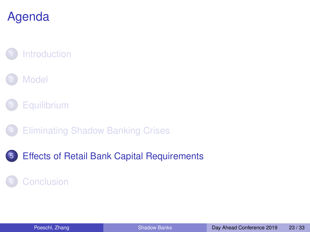# Agenda

# **[Introduction](#page-1-0)**

### **[Model](#page-5-0)**

- **[Equilibrium](#page-13-0)**
- **[Eliminating Shadow Banking Crises](#page-18-0)**
- 5 [Effects of Retail Bank Capital Requirements](#page-22-0)

### <span id="page-22-0"></span>**[Conclusion](#page-27-0)**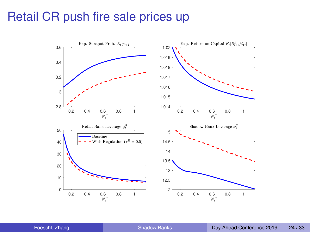### Retail CR push fire sale prices up

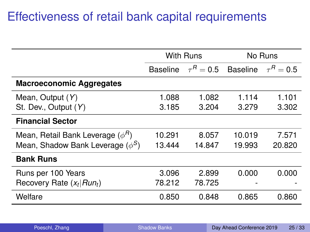# Effectiveness of retail bank capital requirements

|                                       | With Runs       |              | No Runs         |              |  |
|---------------------------------------|-----------------|--------------|-----------------|--------------|--|
|                                       | <b>Baseline</b> | $\tau^R=0.5$ | <b>Baseline</b> | $\tau^R=0.5$ |  |
| <b>Macroeconomic Aggregates</b>       |                 |              |                 |              |  |
| Mean, Output (Y)                      | 1.088           | 1.082        | 1.114           | 1.101        |  |
| St. Dev., Output (Y)                  | 3.185           | 3.204        | 3.279           | 3.302        |  |
| <b>Financial Sector</b>               |                 |              |                 |              |  |
| Mean, Retail Bank Leverage $(\phi^R)$ | 10.291          | 8.057        | 10.019          | 7.571        |  |
| Mean, Shadow Bank Leverage $(\phi^S)$ | 13.444          | 14.847       | 19.993          | 20.820       |  |
| <b>Bank Runs</b>                      |                 |              |                 |              |  |
| Runs per 100 Years                    | 3.096           | 2.899        | 0.000           | 0.000        |  |
| Recovery Rate $(x_t   Run_t)$         | 78.212          | 78.725       |                 |              |  |
| Welfare                               | 0.850           | 0.848        | 0.865           | 0.860        |  |

|  | Poeschl, Zhang |  |
|--|----------------|--|
|  |                |  |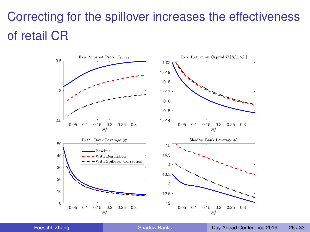# Correcting for the spillover increases the effectiveness of retail CR

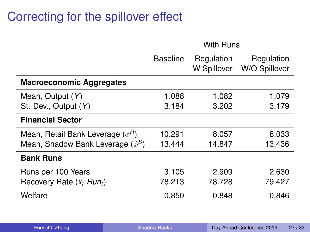# Correcting for the spillover effect

|                                       | With Runs |                           |                             |
|---------------------------------------|-----------|---------------------------|-----------------------------|
|                                       | Baseline  | Regulation<br>W Spillover | Regulation<br>W/O Spillover |
| <b>Macroeconomic Aggregates</b>       |           |                           |                             |
| Mean, Output (Y)                      | 1.088     | 1.082                     | 1.079                       |
| St. Dev., Output (Y)                  | 3.184     | 3.202                     | 3.179                       |
| <b>Financial Sector</b>               |           |                           |                             |
| Mean, Retail Bank Leverage $(\phi^R)$ | 10.291    | 8.057                     | 8.033                       |
| Mean, Shadow Bank Leverage $(\phi^S)$ | 13.444    | 14.847                    | 13.436                      |
| <b>Bank Runs</b>                      |           |                           |                             |
| Runs per 100 Years                    | 3.105     | 2.909                     | 2.630                       |
| Recovery Rate $(x_t   Run_t)$         | 78.213    | 78.728                    | 79.427                      |
| Welfare                               | 0.850     | 0.848                     | 0.846                       |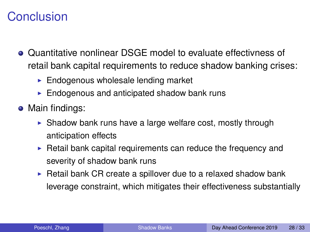# **Conclusion**

- Quantitative nonlinear DSGE model to evaluate effectivness of retail bank capital requirements to reduce shadow banking crises:
	- $\blacktriangleright$  Endogenous wholesale lending market
	- $\blacktriangleright$  Endogenous and anticipated shadow bank runs
- <span id="page-27-0"></span>• Main findings:
	- $\triangleright$  Shadow bank runs have a large welfare cost, mostly through anticipation effects
	- $\triangleright$  Retail bank capital requirements can reduce the frequency and severity of shadow bank runs
	- $\triangleright$  Retail bank CR create a spillover due to a relaxed shadow bank leverage constraint, which mitigates their effectiveness substantially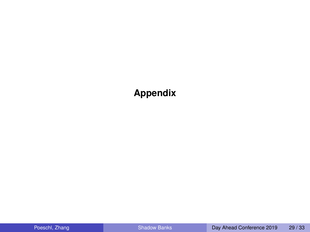#### **Appendix**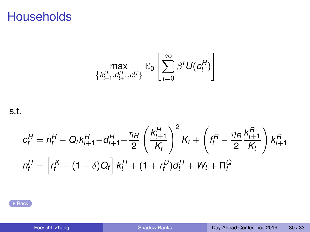## <span id="page-29-0"></span>**Households**

$$
\max_{\left\{k_{t+1}^H, d_{t+1}^H, c_t^H\right\}} \mathbb{E}_0\left[\sum_{t=0}^{\infty} \beta^t U(c_t^H)\right]
$$

s.t.

$$
c_t^H = n_t^H - Q_t k_{t+1}^H - d_{t+1}^H - \frac{\eta_H}{2} \left(\frac{k_{t+1}^H}{K_t}\right)^2 K_t + \left(f_t^R - \frac{\eta_R}{2} \frac{k_{t+1}^R}{K_t}\right) k_{t+1}^R
$$
  

$$
n_t^H = \left[r_t^K + (1 - \delta)Q_t\right] k_t^H + (1 + r_t^D) d_t^H + W_t + \Pi_t^Q
$$

**[Back](#page-12-0)**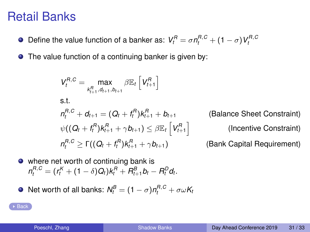### Retail Banks

- <span id="page-30-0"></span>Define the value function of a banker as:  $V_t^B = \sigma n_t^{B,C} + (1-\sigma)V_t^{B,C}$
- The value function of a continuing banker is given by:

$$
V_t^{R,C} = \max_{k_{t+1}^R, d_{t+1}, b_{t+1}} \beta \mathbb{E}_t \left[ V_{t+1}^R \right]
$$
  
s.t.  

$$
n_t^{R,C} + d_{t+1} = (Q_t + f_t^R) k_{t+1}^R + b_{t+1}
$$

$$
\psi((Q_t + f_t^R) k_{t+1}^R + \gamma b_{t+1}) \leq \beta \mathbb{E}_t \left[ V_{t+1}^R \right]
$$

$$
n_t^{R,C} \geq \Gamma((Q_t + f_t^R) k_{t+1}^R + \gamma b_{t+1})
$$
(B)

**Balance Sheet Constraint)** (Incentive Constraint) **ank Capital Requirement)** 

• where net worth of continuing bank is  $n_t^{R,C} = (r_t^K + (1 - \delta)Q_t)k_t^R + R_{t+1}^B b_t - R_t^D d_t.$ 

• Net worth of all banks: 
$$
N_t^B = (1 - \sigma)n_t^{B,C} + \sigma \omega K_t
$$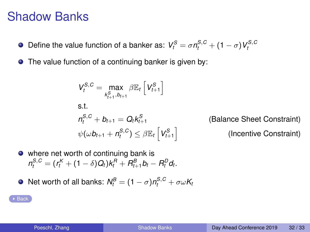### Shadow Banks

- <span id="page-31-0"></span>Define the value function of a banker as:  $V_t^S = \sigma n_t^{S,C} + (1-\sigma)V_t^{S,C}$  $\bullet$
- $\bullet$ The value function of a continuing banker is given by:

$$
V_t^{S,C} = \max_{k_{t+1}^S, b_{t+1}} \beta \mathbb{E}_t \left[ V_{t+1}^S \right]
$$
  
s.t.  

$$
n_t^{S,C} + b_{t+1} = Q_t k_{t+1}^S
$$

$$
\psi(\omega b_{t+1} + n_t^{S,C}) \le \beta \mathbb{E}_t \left[ V_{t+1}^S \right]
$$

*(Balance Sheet Constraint)* (Incentive Constraint)

• where net worth of continuing bank is  $n_t^{S,C} = (r_t^K + (1 - \delta)Q_t)k_t^R + R_{t+1}^B b_t - R_t^D d_t.$ 

• Net worth of all banks: 
$$
N_t^B = (1 - \sigma)n_t^{S,C} + \sigma \omega K_t
$$

**[Back](#page-0-1)**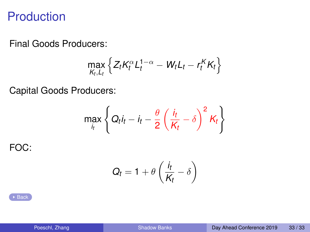### **Production**

<span id="page-32-0"></span>Final Goods Producers:

$$
\max_{K_t,L_t} \left\{ Z_t K_t^{\alpha} L_t^{1-\alpha} - W_t L_t - r_t^K K_t \right\}
$$

Capital Goods Producers:

$$
\max_{i_t} \left\{ Q_t i_t - i_t - \frac{\theta}{2} \left( \frac{i_t}{K_t} - \delta \right)^2 K_t \right\}
$$

FOC:

$$
Q_t = 1 + \theta \left( \frac{i_t}{K_t} - \delta \right)
$$

 $\triangleright$  [Back](#page-12-0)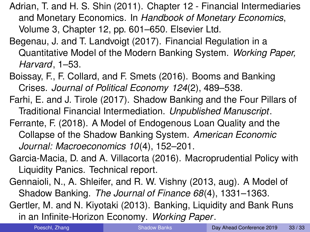- Adrian, T. and H. S. Shin (2011). Chapter 12 Financial Intermediaries and Monetary Economics. In *Handbook of Monetary Economics*, Volume 3, Chapter 12, pp. 601–650. Elsevier Ltd.
- Begenau, J. and T. Landvoigt (2017). Financial Regulation in a Quantitative Model of the Modern Banking System. *Working Paper, Harvard*, 1–53.
- Boissay, F., F. Collard, and F. Smets (2016). Booms and Banking Crises. *Journal of Political Economy 124*(2), 489–538.
- Farhi, E. and J. Tirole (2017). Shadow Banking and the Four Pillars of Traditional Financial Intermediation. *Unpublished Manuscript*.
- Ferrante, F. (2018). A Model of Endogenous Loan Quality and the Collapse of the Shadow Banking System. *American Economic Journal: Macroeconomics 10*(4), 152–201.
- Garcia-Macia, D. and A. Villacorta (2016). Macroprudential Policy with Liquidity Panics. Technical report.
- Gennaioli, N., A. Shleifer, and R. W. Vishny (2013, aug). A Model of Shadow Banking. *The Journal of Finance 68*(4), 1331–1363.
- Gertler, M. and N. Kiyotaki (2013). Banking, Liquidity and Bank Runs in an Infinite-Horizon Economy. *Working Paper*.